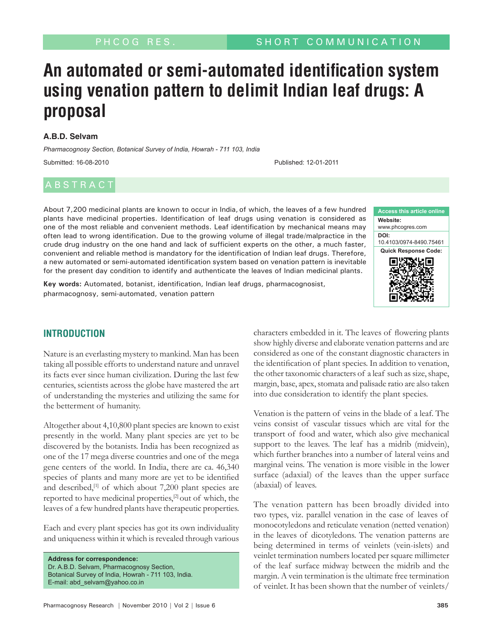# **An automated or semi-automated identification system using venation pattern to delimit Indian leaf drugs: A proposal**

### **A.B.D. Selvam**

*Pharmacognosy Section, Botanical Survey of India, Howrah - 711 103, India*

Submitted: 16-08-2010 Published: 12-01-2011

About 7,200 medicinal plants are known to occur in India, of which, the leaves of a few hundred plants have medicinal properties. Identification of leaf drugs using venation is considered as one of the most reliable and convenient methods. Leaf identification by mechanical means may often lead to wrong identification. Due to the growing volume of illegal trade/malpractice in the crude drug industry on the one hand and lack of sufficient experts on the other, a much faster, convenient and reliable method is mandatory for the identification of Indian leaf drugs. Therefore, a new automated or semi-automated identification system based on venation pattern is inevitable for the present day condition to identify and authenticate the leaves of Indian medicinal plants.

**Key words:** Automated, botanist, identification, Indian leaf drugs, pharmacognosist, pharmacognosy, semi-automated, venation pattern



### **INTRODUCTION**

Nature is an everlasting mystery to mankind. Man has been taking all possible efforts to understand nature and unravel its facts ever since human civilization. During the last few centuries, scientists across the globe have mastered the art of understanding the mysteries and utilizing the same for the betterment of humanity.

Altogether about 4,10,800 plant species are known to exist presently in the world. Many plant species are yet to be discovered by the botanists. India has been recognized as one of the 17 mega diverse countries and one of the mega gene centers of the world. In India, there are ca. 46,340 species of plants and many more are yet to be identified and described,<sup>[1]</sup> of which about 7,200 plant species are reported to have medicinal properties,[2] out of which, the leaves of a few hundred plants have therapeutic properties.

Each and every plant species has got its own individuality and uniqueness within it which is revealed through various

**Address for correspondence:** Dr. A.B.D. Selvam, Pharmacognosy Section, Botanical Survey of India, Howrah - 711 103, India. E-mail: abd\_selvam@yahoo.co.in

characters embedded in it. The leaves of flowering plants show highly diverse and elaborate venation patterns and are considered as one of the constant diagnostic characters in the identification of plant species. In addition to venation, the other taxonomic characters of a leaf such as size, shape, margin, base, apex, stomata and palisade ratio are also taken into due consideration to identify the plant species.

Venation is the pattern of veins in the blade of a leaf. The veins consist of vascular tissues which are vital for the transport of food and water, which also give mechanical support to the leaves. The leaf has a midrib (midvein), which further branches into a number of lateral veins and marginal veins. The venation is more visible in the lower surface (adaxial) of the leaves than the upper surface (abaxial) of leaves.

The venation pattern has been broadly divided into two types, viz. parallel venation in the case of leaves of monocotyledons and reticulate venation (netted venation) in the leaves of dicotyledons. The venation patterns are being determined in terms of veinlets (vein-islets) and veinlet termination numbers located per square millimeter of the leaf surface midway between the midrib and the margin. A vein termination is the ultimate free termination of veinlet. It has been shown that the number of veinlets/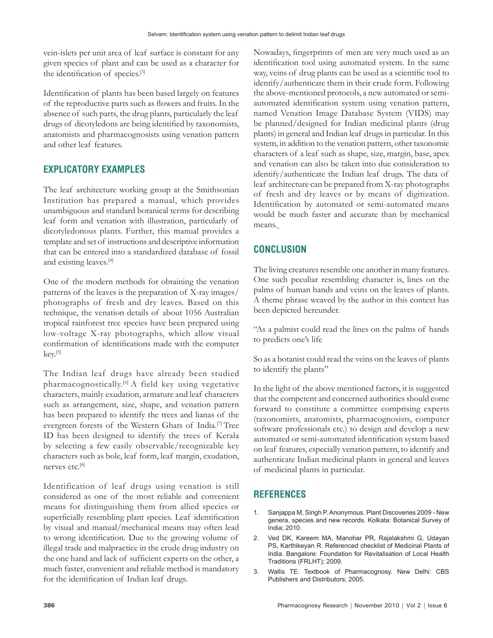vein-islets per unit area of leaf surface is constant for any given species of plant and can be used as a character for the identification of species.[3]

Identification of plants has been based largely on features of the reproductive parts such as flowers and fruits. In the absence of such parts, the drug plants, particularly the leaf drugs of dicotyledons are being identified by taxonomists, anatomists and pharmacognosists using venation pattern and other leaf features.

# **EXPLICATORY EXAMPLES**

The leaf architecture working group at the Smithsonian Institution has prepared a manual, which provides unambiguous and standard botanical terms for describing leaf form and venation with illustration, particularly of dicotyledonous plants. Further, this manual provides a template and set of instructions and descriptive information that can be entered into a standardized database of fossil and existing leaves.[4]

One of the modern methods for obtaining the venation patterns of the leaves is the preparation of X-ray images/ photographs of fresh and dry leaves. Based on this technique, the venation details of about 1056 Australian tropical rainforest tree species have been prepared using low-voltage X-ray photographs, which allow visual confirmation of identifications made with the computer key.[5]

The Indian leaf drugs have already been studied pharmacognostically.[6] A field key using vegetative characters, mainly exudation, armature and leaf characters such as arrangement, size, shape, and venation pattern has been prepared to identify the trees and lianas of the evergreen forests of the Western Ghats of India.<sup>[7]</sup> Tree ID has been designed to identify the trees of Kerala by selecting a few easily observable/recognizable key characters such as bole, leaf form, leaf margin, exudation, nerves etc.[8]

Identification of leaf drugs using venation is still considered as one of the most reliable and convenient means for distinguishing them from allied species or superficially resembling plant species. Leaf identification by visual and manual/mechanical means may often lead to wrong identification. Due to the growing volume of illegal trade and malpractice in the crude drug industry on the one hand and lack of sufficient experts on the other, a much faster, convenient and reliable method is mandatory for the identification of Indian leaf drugs.

Nowadays, fingerprints of men are very much used as an identification tool using automated system. In the same way, veins of drug plants can be used as a scientific tool to identify/authenticate them in their crude form. Following the above-mentioned protocols, a new automated or semiautomated identification system using venation pattern, named Venation Image Database System (VIDS) may be planned/designed for Indian medicinal plants (drug plants) in general and Indian leaf drugs in particular. In this system, in addition to the venation pattern, other taxonomic characters of a leaf such as shape, size, margin, base, apex and venation can also be taken into due consideration to identify/authenticate the Indian leaf drugs. The data of leaf architecture can be prepared from X-ray photographs of fresh and dry leaves or by means of digitization. Identification by automated or semi-automated means would be much faster and accurate than by mechanical means.

# **CONCLUSION**

The living creatures resemble one another in many features. One such peculiar resembling character is, lines on the palms of human hands and veins on the leaves of plants. A theme phrase weaved by the author in this context has been depicted hereunder.

"As a palmist could read the lines on the palms of hands to predicts one's life

So as a botanist could read the veins on the leaves of plants to identify the plants"

In the light of the above mentioned factors, it is suggested that the competent and concerned authorities should come forward to constitute a committee comprising experts (taxonomists, anatomists, pharmacognosists, computer software professionals etc.) to design and develop a new automated or semi-automated identification system based on leaf features, especially venation pattern, to identify and authenticate Indian medicinal plants in general and leaves of medicinal plants in particular.

# **REFERENCES**

- 1. Sanjappa M, Singh P. Anonymous. Plant Discoveries 2009 New genera, species and new records. Kolkata: Botanical Survey of India; 2010.
- 2. Ved DK, Kareem MA, Manohar PR, Rajalakshmi G, Udayan PS, Karthikeyan R. Referenced checklist of Medicinal Plants of India. Bangalore: Foundation for Revitalisation of Local Health Traditions (FRLHT); 2009.
- 3. Wallis TE. Textbook of Pharmacognosy. New Delhi: CBS Publishers and Distributors; 2005.